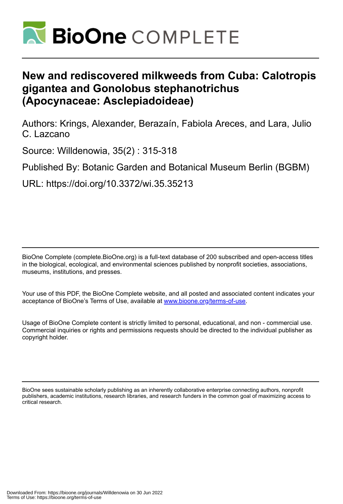

# **New and rediscovered milkweeds from Cuba: Calotropis gigantea and Gonolobus stephanotrichus (Apocynaceae: Asclepiadoideae)**

Authors: Krings, Alexander, Berazaín, Fabiola Areces, and Lara, Julio C. Lazcano

Source: Willdenowia, 35(2) : 315-318

Published By: Botanic Garden and Botanical Museum Berlin (BGBM)

URL: https://doi.org/10.3372/wi.35.35213

BioOne Complete (complete.BioOne.org) is a full-text database of 200 subscribed and open-access titles in the biological, ecological, and environmental sciences published by nonprofit societies, associations, museums, institutions, and presses.

Your use of this PDF, the BioOne Complete website, and all posted and associated content indicates your acceptance of BioOne's Terms of Use, available at www.bioone.org/terms-of-use.

Usage of BioOne Complete content is strictly limited to personal, educational, and non - commercial use. Commercial inquiries or rights and permissions requests should be directed to the individual publisher as copyright holder.

BioOne sees sustainable scholarly publishing as an inherently collaborative enterprise connecting authors, nonprofit publishers, academic institutions, research libraries, and research funders in the common goal of maximizing access to critical research.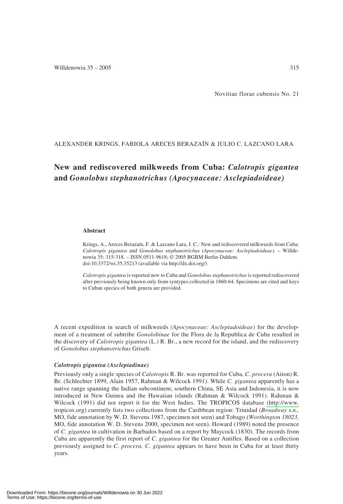# ALEXANDER KRINGS, FABIOLA ARECES BERAZAÍN & JULIO C. LAZCANO LARA

# **New and rediscovered milkweeds from Cuba:** *Calotropis gigantea* **and** *Gonolobus stephanotrichus (Apocynaceae: Asclepiadoideae)*

# **Abstract**

Krings, A., Areces Berazaín, F. & Lazcano Lara, J. C.: New and rediscovered milkweeds from Cuba: *Calotropis gigantea* and *Gonolobus stephanotrichus (Apocynaceae: Asclepiadoideae).* – Willdenowia 35: 315-318. – ISSN 0511-9618; © 2005 BGBM Berlin-Dahlem. doi:10.3372/wi.35.35213 (available via http://dx.doi.org/)

*Calotropis gigantea* is reported new to Cuba and *Gonolobus stephanotrichus*is reported rediscovered after previously being known only from syntypes collected in 1860-64. Specimens are cited and keys to Cuban species of both genera are provided.

A recent expedition in search of milkweeds *(Apocynaceae: Asclepiadoideae)* for the development of a treatment of subtribe *Gonolobinae* for the Flora de la Republica de Cuba resulted in the discovery of *Calotropis gigantea* (L.) R. Br., a new record for the island, and the rediscovery of *Gonolobus stephanotrichus* Griseb.

#### *Calotropis gigantea (Asclepiadinae)*

Previously only a single species of *Calotropis* R. Br. was reported for Cuba, *C. procera* (Aiton) R. Br. (Schlechter 1899, Alain 1957, Rahman & Wilcock 1991). While *C. gigantea* apparently has a native range spanning the Indian subcontinent, southern China, SE Asia and Indonesia, it is now introduced in New Guinea and the Hawaiian islands (Rahman & Wilcock 1991). Rahman & Wilcock (1991) did not report it for the West Indies. The TROPICOS database (http://www. tropicos.org) currently lists two collections from the Caribbean region: Trinidad (*Broadway s.n.,* MO, fide annotation by W. D. Stevens 1987, specimen not seen) and Tobago (*Worthington 18023,* MO, fide annotation W. D. Stevens 2000, specimen not seen). Howard (1989) noted the presence of *C. gigantea* in cultivation in Barbados based on a report by Maycock (1830). The records from Cuba are apparently the first report of *C. gigantea* for the Greater Antilles. Based on a collection previously assigned to *C. procera, C. gigantea* appears to have been in Cuba for at least thirty years.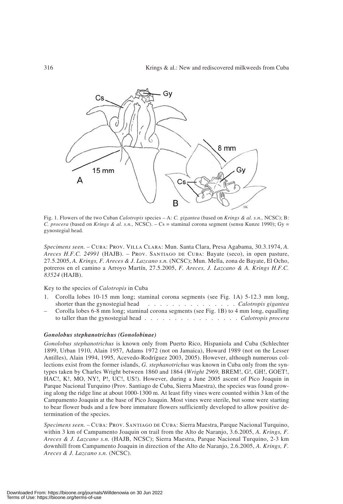

Fig. 1. Flowers of the two Cuban *Calotropis* species – A: *C. gigantea* (based on *Krings & al. s.n.,* NCSC); B: *C. procera* (based on *Krings & al. s.n.,* NCSC). – Cs = staminal corona segment (sensu Kunze 1990); Gy = gynostegial head.

*Specimens seen.* – Cuba: Prov. Villa Clara: Mun. Santa Clara, Presa Agabama, 30.3.1974, *A. Areces H.F.C. 24991* (HAJB). – Prov. Santiago de Cuba: Bayate (seco), in open pasture, 27.5.2005, *A. Krings, F. Areces & J. Lazcano s.n.* (NCSC); Mun. Mella, zona de Bayate, El Ocho, potreros en el camino a Arroyo Martín, 27.5.2005, *F. Areces, J. Lazcano & A. Krings H.F.C. 83524* (HAJB).

Key to the species of *Calotropis* in Cuba

- 1. Corolla lobes 10-15 mm long; staminal corona segments (see Fig. 1A) 5-12.3 mm long, shorter than the gynostegial head . . . . . . . . . . . . . . *. Calotropis gigantea*
- Corolla lobes 6-8 mm long; staminal corona segments (see Fig. 1B) to 4 mm long, equalling to taller than the gynostegial head ................ *Calotropis procera*

## *Gonolobus stephanotrichus (Gonolobinae)*

*Gonolobus stephanotrichus* is known only from Puerto Rico, Hispaniola and Cuba (Schlechter 1899, Urban 1910, Alain 1957, Adams 1972 (not on Jamaica), Howard 1989 (not on the Lesser Antilles), Alain 1994, 1995, Acevedo-Rodríguez 2003, 2005). However, although numerous collections exist from the former islands, *G. stephanotrichus* was known in Cuba only from the syntypes taken by Charles Wright between 1860 and 1864 (*Wright 2969,* BREM!, G!, GH!, GOET!, HAC!, K!, MO, NY!, P!, UC!, US!). However, during a June 2005 ascent of Pico Joaquin in Parque Nacional Turquino (Prov. Santiago de Cuba, Sierra Maestra), the species was found growing along the ridge line at about 1000-1300 m. At least fifty vines were counted within 3 km of the Campamento Joaquin at the base of Pico Joaquin. Most vines were sterile, but some were starting to bear flower buds and a few bore immature flowers sufficiently developed to allow positive determination of the species.

*Specimens seen.* – Cuba: Prov. Santiago de Cuba: Sierra Maestra, Parque Nacional Turquino, within 3 km of Campamento Joaquin on trail from the Alto de Naranjo, 3.6.2005, *A. Krings, F. Areces & J. Lazcano s.n.* (HAJB, NCSC); Sierra Maestra, Parque Nacional Turquino, 2-3 km downhill from Campamento Joaquin in direction of the Alto de Naranjo, 2.6.2005, *A. Krings, F. Areces & J. Lazcano s.n.* (NCSC).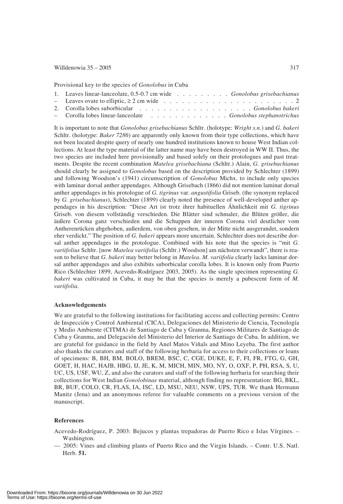#### Willdenowia  $35 - 2005$  317

Provisional key to the species of *Gonolobus* in Cuba

| 1. Leaves linear-lanceolate, 0.5-0.7 cm wide Gonolobus grisebachianus                         |  |  |  |  |  |
|-----------------------------------------------------------------------------------------------|--|--|--|--|--|
|                                                                                               |  |  |  |  |  |
| 2. Corolla lobes suborbicular response response response response response to Conclous bakeri |  |  |  |  |  |
| - Corolla lobes linear-lanceolate Gonolobus stephanotrichus                                   |  |  |  |  |  |

It is important to note that *Gonolobus grisebachianus* Schltr. (holotype: *Wright s.n.*) and *G. bakeri* Schltr. (holotype: *Baker 7286*) are apparently only known from their type collections, which have not been located despite query of nearly one hundred institutions known to house West Indian collections. At least the type material of the latter name may have been destroyed in WW II. Thus, the two species are included here provisionally and based solely on their protologues and past treatments. Despite the recent combination *Matelea grisebachiana* (Schltr.) Alain, *G. grisebachianus* should clearly be assigned to *Gonolobus* based on the description provided by Schlechter (1899) and following Woodson's (1941) circumscription of *Gonolobus* Michx. to include only species with laminar dorsal anther appendages. Although Grisebach (1866) did not mention laminar dorsal anther appendages in his protologue of *G. tigrinus* var. *angustifolia* Griseb. (the synonym replaced by *G. grisebachianus*), Schlechter (1899) clearly noted the presence of well-developed anther appendages in his description: "Diese Art ist trotz ihrer habituellen Ähnlichkeit mit *G. tigrinus* Griseb. von diesem vollständig verschieden. Die Blätter sind schmaler, die Blüten größer, die äußere Corona ganz verschieden und die Schuppen der inneren Corona viel deutlicher vom Antherenrücken abgehoben, außerdem, von oben gesehen, in der Mitte nicht ausgerandet, sondern eher verdickt." The position of *G. bakeri* appears more uncertain. Schlechter does not describe dorsal anther appendages in the protologue. Combined with his note that the species is "mit *G. variifolius* Schltr. [now *Matelea variifolia* (Schltr.) Woodson] am nächsten verwandt", there is reason to believe that *G. bakeri* may better belong in *Matelea*. *M. variifolia* clearly lacks laminar dorsal anther appendages and also exhibits suborbicular corolla lobes. It is known only from Puerto Rico (Schlechter 1899, Acevedo-Rodríguez 2003, 2005). As the single specimen representing *G. bakeri* was cultivated in Cuba, it may be that the species is merely a pubescent form of *M. variifolia*.

#### **Acknowledgements**

We are grateful to the following institutions for facilitating access and collecting permits: Centro de Inspección y Control Ambiental (CICA), Delegaciones del Ministerio de Ciencia, Tecnología y Medio Ambiente (CITMA) de Santiago de Cuba y Granma, Regiones Militares de Santiago de Cuba y Granma, and Delegación del Ministerio del Interior de Santiago de Cuba. In addition, we are grateful for guidance in the field by Anel Matos Viñals and Mino Leyeba. The first author also thanks the curators and staff of the following herbaria for access to their collections or loans of specimens: B, BH, BM, BOLO, BREM, BSC, C, CGE, DUKE, E, F, FI, FR, FTG, G, GH, GOET, H, HAC, HAJB, HBG, IJ, JE, K, M, MICH, MIN, MO, NY, O, OXF, P, PH, RSA, S, U, UC, US, USF, WU, Z, and also the curators and staff of the following herbaria for searching their collections for West Indian *Gonolobinae* material, although finding no representation: BG, BKL, BR, BUF, COLO, CR, FLAS, IA, ISC, LD, MSU, NEU, NSW, UPS, TUR. We thank Hermann Manitz (Jena) and an anonymous referee for valuable comments on a previous version of the manuscript.

# **References**

Acevedo-Rodríguez, P. 2003: Bejucos y plantas trepadoras de Puerto Rico e Islas Vírgines. *–* Washington.

— 2005: Vines and climbing plants of Puerto Rico and the Virgin Islands. – Contr. U.S. Natl. Herb. **51.**